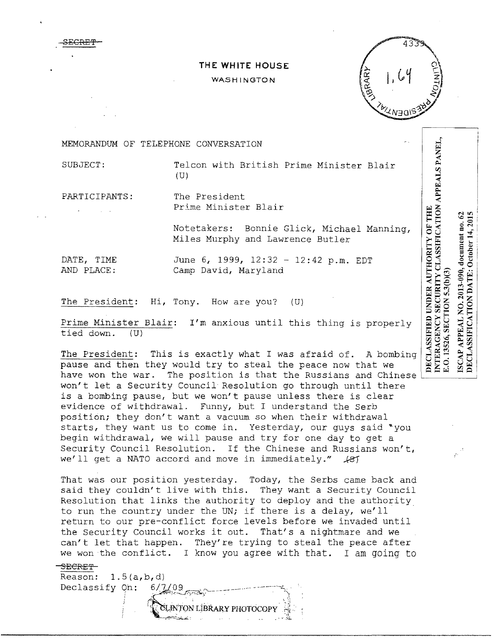## THE WHITE HOUSE

## WASHINGTON



NTERAGENCY SECURITY CLASSIFICATION APPEALS PANEL.

E.O. 13526, SECTION 5.3(b)(3)

DECLASSIFICATION DATE: October 14, 2015 ISCAP APPEAL NO. 2013-090, document no. 62

DECLASSIFIED UNDER AUTHORITY OF THE

MEMORANDUM OF TELEPHONE CONVERSATION

SUBJECT:

Telcon with British Prime Minister Blair  $(U)$ 

PARTICIPANTS: The President Prime Minister Blair

> Notetakers: Bonnie Glick, Michael Manning, Miles Murphy and Lawrence Butler

DATE, TIME AND PLACE:

June 6, 1999, 12:32 - 12:42 p.m. EDT Camp David, Maryland

The President: Hi, Tony. How are you?  $(U)$ 

Prime Minister Blair: I'm anxious until this thing is properly tied down.  $(U)$ 

The President: This is exactly what I was afraid of. A bombing pause and then they would try to steal the peace now that we have won the war. The position is that the Russians and Chinese won't let a Security Council Resolution go through until there is a bombing pause, but we won't pause unless there is clear evidence of withdrawal. Funny, but I understand the Serb position; they don't want a vacuum so when their withdrawal starts, they want us to come in. Yesterday, our guys said "you begin withdrawal, we will pause and try for one day to get a Security Council Resolution. If the Chinese and Russians won't, we'll get a NATO accord and move in immediately."  $187$ 

That was our position yesterday. Today, the Serbs came back and said they couldn't live with this. They want a Security Council Resolution that links the authority to deploy and the authority to run the country under the UN; if there is a delay, we'll return to our pre-conflict force levels before we invaded until the Security Council works it out. That's a nightmare and we can't let that happen. They're trying to steal the peace after we won the conflict. I know you agree with that. I am going to

SLINTON LIBRARY PHOTOCOPY

## SECRET-

Reason:  $1.5(a,b,d)$ Declassify On:  $6/7/09$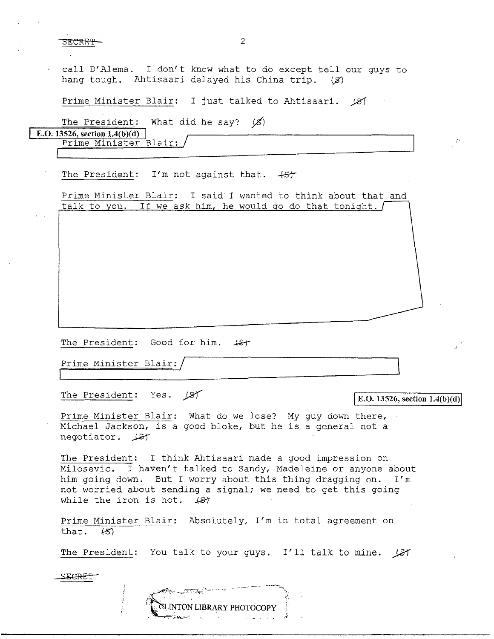$S_{\text{ECRF}}$ 

call D'Alema. I don't know what to do except tell our guys to hang tough. Ahtisaari delayed his China trip.  $(x)$ 

Prime Minister Blair: I just talked to Ahtisaari. *)31* 

The President: What did he say?  $(X)$ 

**E.O. 13526, section 1.4(b)(d)** 

 $\overline{\mathbb{L}}$ Prime Minister Blair: /

The President: I'm not against that.  $+8$ <sup>+</sup>

Prime Minister Blair: I said I wanted to think about that and talk to you. If we ask him, he would go do that tonight.

The President: Good for him.  $\downarrow$ S)

Prime Minister Blair:  $\Box$ 

The President: Yes.  $\cancel{\beta}$  (E.O. 13526, section 1.4(b)(d)

Prime Minister Blair: What do we lose? My guy down there, Michael Jackson, is a good bloke, but he is a general not a negotiator.  $\sqrt{ST}$ 

The President: I think Ahtisaari made a good impression on Milosevic. I haven't talked to Sandy, Madeleine or anyone about him going down. But I worry about this thing dragging on. I'm not worried about sending a signal; we need to get this going while the iron is hot.  $\sqrt{8}$ 

Prime Minister Blair: Absolutely, I'm in total agreement on that.  $45$ 

The President: You talk to your guys. I'll talk to mine. *).S1* 

SECRE'r

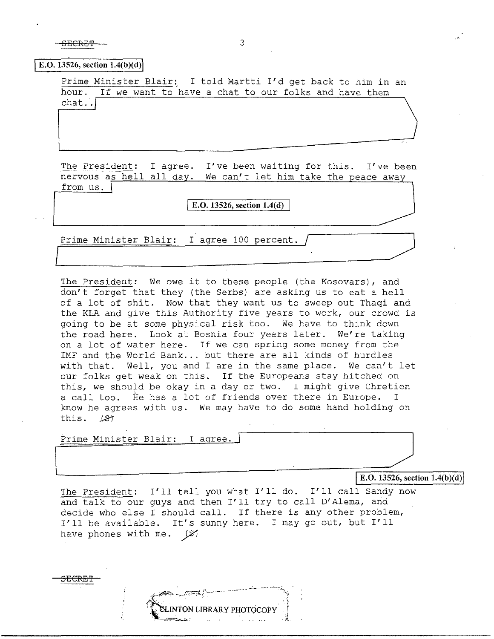SECRET 3

**E.O.** 13526, section  $1.4(b)(d)$ 

Prime Minister Blair: I told Martti I'd get back to him in an hour. If we want to have a chat to our folks and have them chat..

The President: I agree. I've been waiting for this. I've been nervous as hell all day. We can't let him take the peace away from us.

I **E.O. 13526, section 1.4(d)** 

Prime Minister Blair: I agree 100 percent.

The President: We owe it to these people (the Kosovars), and don't forget that they (the Serbs) are asking us to eat a hell of a lot of shit. Now that they want us to sweep out Thaqi and the KLA and give this Authority five years to work, our crowd is going to be at some physical risk too. We have to think down the road here. Look at Bosnia four years later. We're taking on a lot of water here. If we can spring some money from the IMF and the World Bank... but there are all kinds of hurdles with that. Well, you and I are in the same place. We can't let our folks get weak on this. If the Europeans stay hitched on this, we should be okay in a day or two. I might give Chretien a call too. He has a lot of friends over there in Europe. I know he agrees with us. We may have to do some hand holding on this. 187

Prime Minister Blair: I agree.<br> **E.O.** 13526, section 1.4(b)(d)

The President: I'll tell you what I'll do. I'll call Sandy now and talk to our guys and then I'll try to call D'Alema, and decide who else I should call. If there is any other problem, I'll be available. It's sunny here. I may go out, but I'll have phones with me.  $\cancel{\cancel{\mathcal{S}}}$